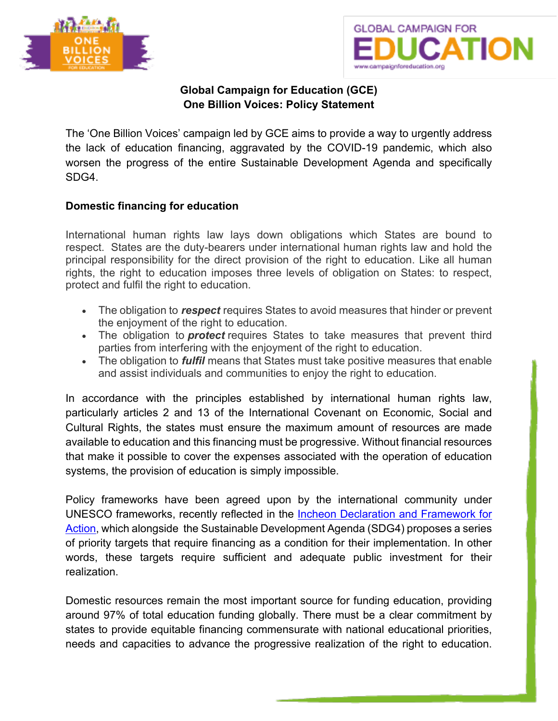



## **Global Campaign for Education (GCE) One Billion Voices: Policy Statement**

The 'One Billion Voices' campaign led by GCE aims to provide a way to urgently address the lack of education financing, aggravated by the COVID-19 pandemic, which also worsen the progress of the entire Sustainable Development Agenda and specifically SDG4.

## **Domestic financing for education**

International human rights law lays down obligations which States are bound to respect. States are the duty-bearers under international human rights law and hold the principal responsibility for the direct provision of the right to education. Like all human rights, the right to education imposes three levels of obligation on States: to respect, protect and fulfil the right to education.

- The obligation to *respect* requires States to avoid measures that hinder or prevent the enjoyment of the right to education.
- The obligation to *protect* requires States to take measures that prevent third parties from interfering with the enjoyment of the right to education.
- The obligation to *fulfil* means that States must take positive measures that enable and assist individuals and communities to enjoy the right to education.

In accordance with the principles established by international human rights law, particularly articles 2 and 13 of the International Covenant on Economic, Social and Cultural Rights, the states must ensure the maximum amount of resources are made available to education and this financing must be progressive. Without financial resources that make it possible to cover the expenses associated with the operation of education systems, the provision of education is simply impossible.

Policy frameworks have been agreed upon by the international community under UNESCO frameworks, recently reflected in the Incheon Declaration and Framework for Action, which alongside the Sustainable Development Agenda (SDG4) proposes a series of priority targets that require financing as a condition for their implementation. In other words, these targets require sufficient and adequate public investment for their realization.

Domestic resources remain the most important source for funding education, providing around 97% of total education funding globally. There must be a clear commitment by states to provide equitable financing commensurate with national educational priorities, needs and capacities to advance the progressive realization of the right to education.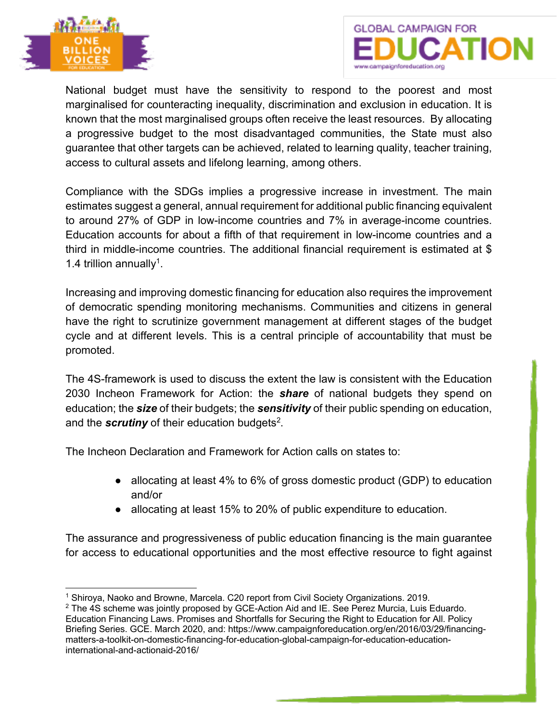



National budget must have the sensitivity to respond to the poorest and most marginalised for counteracting inequality, discrimination and exclusion in education. It is known that the most marginalised groups often receive the least resources. By allocating a progressive budget to the most disadvantaged communities, the State must also guarantee that other targets can be achieved, related to learning quality, teacher training, access to cultural assets and lifelong learning, among others.

Compliance with the SDGs implies a progressive increase in investment. The main estimates suggest a general, annual requirement for additional public financing equivalent to around 27% of GDP in low-income countries and 7% in average-income countries. Education accounts for about a fifth of that requirement in low-income countries and a third in middle-income countries. The additional financial requirement is estimated at \$ 1.4 trillion annually<sup>1</sup>.

Increasing and improving domestic financing for education also requires the improvement of democratic spending monitoring mechanisms. Communities and citizens in general have the right to scrutinize government management at different stages of the budget cycle and at different levels. This is a central principle of accountability that must be promoted.

The 4S-framework is used to discuss the extent the law is consistent with the Education 2030 Incheon Framework for Action: the *share* of national budgets they spend on education; the *size* of their budgets; the *sensitivity* of their public spending on education, and the *scrutiny* of their education budgets<sup>2</sup>.

The Incheon Declaration and Framework for Action calls on states to:

- allocating at least 4% to 6% of gross domestic product (GDP) to education and/or
- allocating at least 15% to 20% of public expenditure to education.

The assurance and progressiveness of public education financing is the main guarantee for access to educational opportunities and the most effective resource to fight against

<sup>1</sup> Shiroya, Naoko and Browne, Marcela. C20 report from Civil Society Organizations. 2019.

<sup>&</sup>lt;sup>2</sup> The 4S scheme was jointly proposed by GCE-Action Aid and IE. See Perez Murcia, Luis Eduardo. Education Financing Laws. Promises and Shortfalls for Securing the Right to Education for All. Policy Briefing Series. GCE. March 2020, and: https://www.campaignforeducation.org/en/2016/03/29/financingmatters-a-toolkit-on-domestic-financing-for-education-global-campaign-for-education-educationinternational-and-actionaid-2016/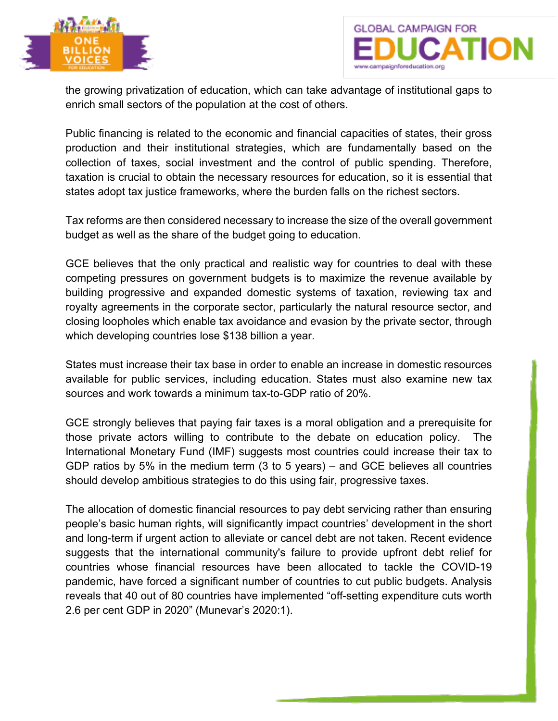



the growing privatization of education, which can take advantage of institutional gaps to enrich small sectors of the population at the cost of others.

Public financing is related to the economic and financial capacities of states, their gross production and their institutional strategies, which are fundamentally based on the collection of taxes, social investment and the control of public spending. Therefore, taxation is crucial to obtain the necessary resources for education, so it is essential that states adopt tax justice frameworks, where the burden falls on the richest sectors.

Tax reforms are then considered necessary to increase the size of the overall government budget as well as the share of the budget going to education.

GCE believes that the only practical and realistic way for countries to deal with these competing pressures on government budgets is to maximize the revenue available by building progressive and expanded domestic systems of taxation, reviewing tax and royalty agreements in the corporate sector, particularly the natural resource sector, and closing loopholes which enable tax avoidance and evasion by the private sector, through which developing countries lose \$138 billion a year.

States must increase their tax base in order to enable an increase in domestic resources available for public services, including education. States must also examine new tax sources and work towards a minimum tax-to-GDP ratio of 20%.

GCE strongly believes that paying fair taxes is a moral obligation and a prerequisite for those private actors willing to contribute to the debate on education policy. The International Monetary Fund (IMF) suggests most countries could increase their tax to GDP ratios by 5% in the medium term (3 to 5 years) – and GCE believes all countries should develop ambitious strategies to do this using fair, progressive taxes.

The allocation of domestic financial resources to pay debt servicing rather than ensuring people's basic human rights, will significantly impact countries' development in the short and long-term if urgent action to alleviate or cancel debt are not taken. Recent evidence suggests that the international community's failure to provide upfront debt relief for countries whose financial resources have been allocated to tackle the COVID-19 pandemic, have forced a significant number of countries to cut public budgets. Analysis reveals that 40 out of 80 countries have implemented "off-setting expenditure cuts worth 2.6 per cent GDP in 2020" (Munevar's 2020:1).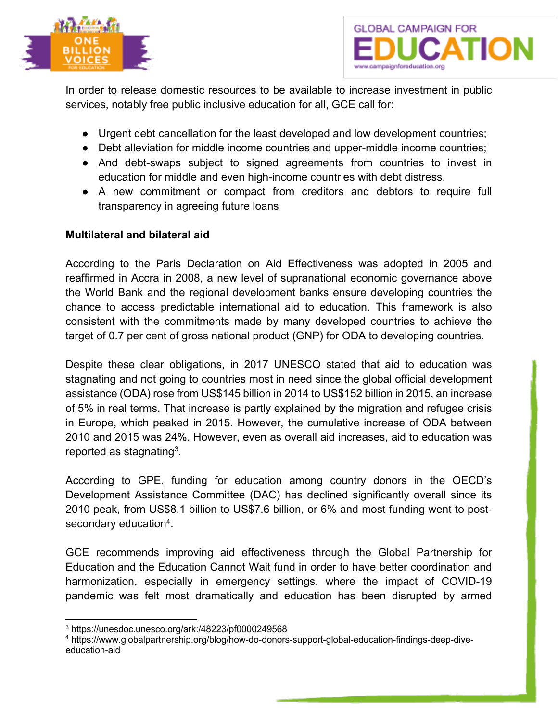



In order to release domestic resources to be available to increase investment in public services, notably free public inclusive education for all, GCE call for:

- Urgent debt cancellation for the least developed and low development countries;
- Debt alleviation for middle income countries and upper-middle income countries;
- And debt-swaps subject to signed agreements from countries to invest in education for middle and even high-income countries with debt distress.
- A new commitment or compact from creditors and debtors to require full transparency in agreeing future loans

## **Multilateral and bilateral aid**

According to the Paris Declaration on Aid Effectiveness was adopted in 2005 and reaffirmed in Accra in 2008, a new level of supranational economic governance above the World Bank and the regional development banks ensure developing countries the chance to access predictable international aid to education. This framework is also consistent with the commitments made by many developed countries to achieve the target of 0.7 per cent of gross national product (GNP) for ODA to developing countries.

Despite these clear obligations, in 2017 UNESCO stated that aid to education was stagnating and not going to countries most in need since the global official development assistance (ODA) rose from US\$145 billion in 2014 to US\$152 billion in 2015, an increase of 5% in real terms. That increase is partly explained by the migration and refugee crisis in Europe, which peaked in 2015. However, the cumulative increase of ODA between 2010 and 2015 was 24%. However, even as overall aid increases, aid to education was reported as stagnating<sup>3</sup>.

According to GPE, funding for education among country donors in the OECD's Development Assistance Committee (DAC) has declined significantly overall since its 2010 peak, from US\$8.1 billion to US\$7.6 billion, or 6% and most funding went to postsecondary education<sup>4</sup>.

GCE recommends improving aid effectiveness through the Global Partnership for Education and the Education Cannot Wait fund in order to have better coordination and harmonization, especially in emergency settings, where the impact of COVID-19 pandemic was felt most dramatically and education has been disrupted by armed

<sup>3</sup> https://unesdoc.unesco.org/ark:/48223/pf0000249568

<sup>4</sup> https://www.globalpartnership.org/blog/how-do-donors-support-global-education-findings-deep-diveeducation-aid